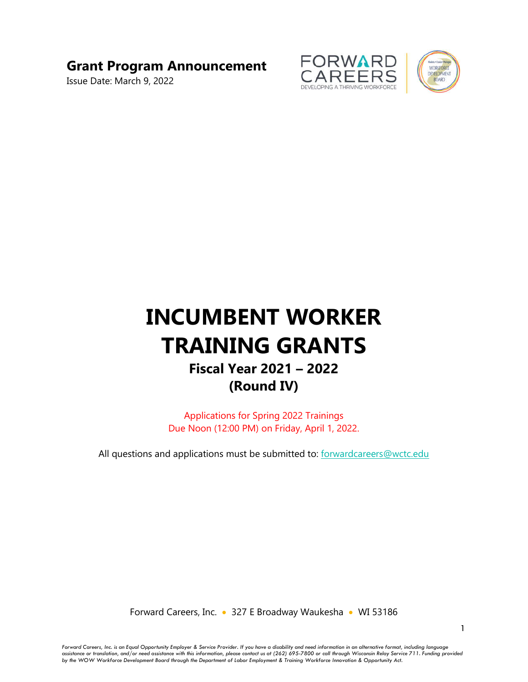## **Grant Program Announcement**

Issue Date: March 9, 2022



# **INCUMBENT WORKER TRAINING GRANTS Fiscal Year 2021 – 2022 (Round IV)**

Applications for Spring 2022 Trainings Due Noon (12:00 PM) on Friday, April 1, 2022.

All questions and applications must be submitted to: forwardcareers@wctc.edu

Forward Careers, Inc. • 327 E Broadway Waukesha • WI 53186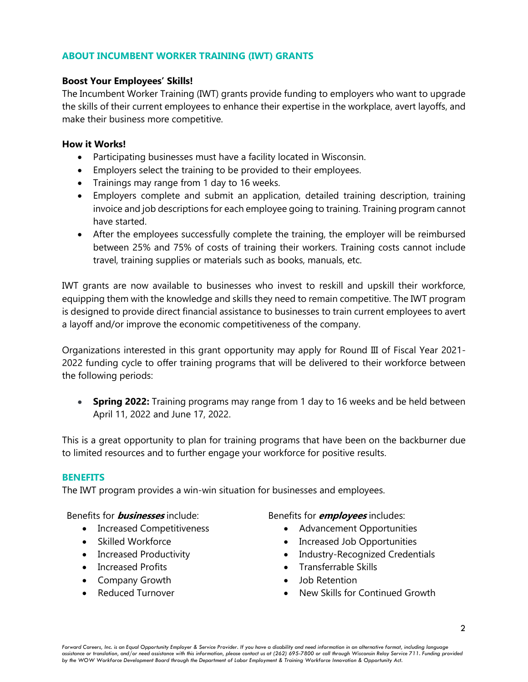## **ABOUT INCUMBENT WORKER TRAINING (IWT) GRANTS**

## **Boost Your Employees' Skills!**

The Incumbent Worker Training (IWT) grants provide funding to employers who want to upgrade the skills of their current employees to enhance their expertise in the workplace, avert layoffs, and make their business more competitive.

## **How it Works!**

- Participating businesses must have a facility located in Wisconsin.
- Employers select the training to be provided to their employees.
- Trainings may range from 1 day to 16 weeks.
- Employers complete and submit an application, detailed training description, training invoice and job descriptions for each employee going to training. Training program cannot have started.
- After the employees successfully complete the training, the employer will be reimbursed between 25% and 75% of costs of training their workers. Training costs cannot include travel, training supplies or materials such as books, manuals, etc.

IWT grants are now available to businesses who invest to reskill and upskill their workforce, equipping them with the knowledge and skills they need to remain competitive. The IWT program is designed to provide direct financial assistance to businesses to train current employees to avert a layoff and/or improve the economic competitiveness of the company.

Organizations interested in this grant opportunity may apply for Round III of Fiscal Year 2021- 2022 funding cycle to offer training programs that will be delivered to their workforce between the following periods:

 **Spring 2022:** Training programs may range from 1 day to 16 weeks and be held between April 11, 2022 and June 17, 2022.

This is a great opportunity to plan for training programs that have been on the backburner due to limited resources and to further engage your workforce for positive results.

## **BENEFITS**

The IWT program provides a win-win situation for businesses and employees.

## Benefits for **businesses** include:

- Increased Competitiveness
- Skilled Workforce
- Increased Productivity
- Increased Profits
- Company Growth
- Reduced Turnover

## Benefits for **employees** includes:

- Advancement Opportunities
- Increased Job Opportunities
- Industry-Recognized Credentials
- Transferrable Skills
- Job Retention
- New Skills for Continued Growth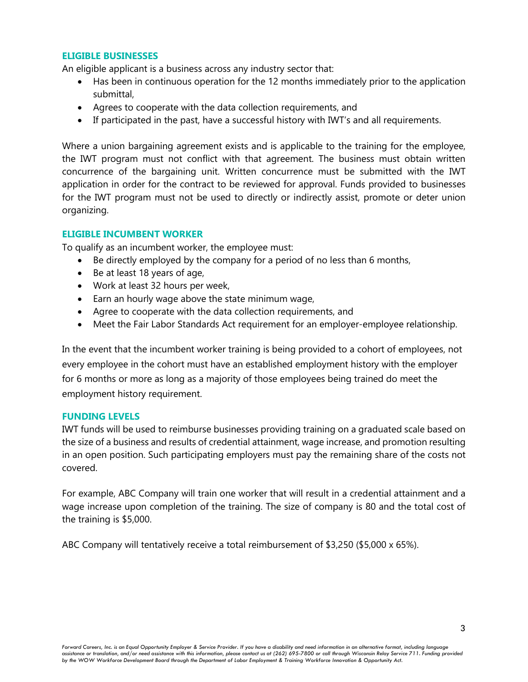## **ELIGIBLE BUSINESSES**

An eligible applicant is a business across any industry sector that:

- Has been in continuous operation for the 12 months immediately prior to the application submittal,
- Agrees to cooperate with the data collection requirements, and
- If participated in the past, have a successful history with IWT's and all requirements.

Where a union bargaining agreement exists and is applicable to the training for the employee, the IWT program must not conflict with that agreement. The business must obtain written concurrence of the bargaining unit. Written concurrence must be submitted with the IWT application in order for the contract to be reviewed for approval. Funds provided to businesses for the IWT program must not be used to directly or indirectly assist, promote or deter union organizing.

## **ELIGIBLE INCUMBENT WORKER**

To qualify as an incumbent worker, the employee must:

- Be directly employed by the company for a period of no less than 6 months,
- Be at least 18 years of age,
- Work at least 32 hours per week,
- Earn an hourly wage above the state minimum wage,
- Agree to cooperate with the data collection requirements, and
- Meet the Fair Labor Standards Act requirement for an employer-employee relationship.

In the event that the incumbent worker training is being provided to a cohort of employees, not every employee in the cohort must have an established employment history with the employer for 6 months or more as long as a majority of those employees being trained do meet the employment history requirement.

## **FUNDING LEVELS**

IWT funds will be used to reimburse businesses providing training on a graduated scale based on the size of a business and results of credential attainment, wage increase, and promotion resulting in an open position. Such participating employers must pay the remaining share of the costs not covered.

For example, ABC Company will train one worker that will result in a credential attainment and a wage increase upon completion of the training. The size of company is 80 and the total cost of the training is \$5,000.

ABC Company will tentatively receive a total reimbursement of \$3,250 (\$5,000 x 65%).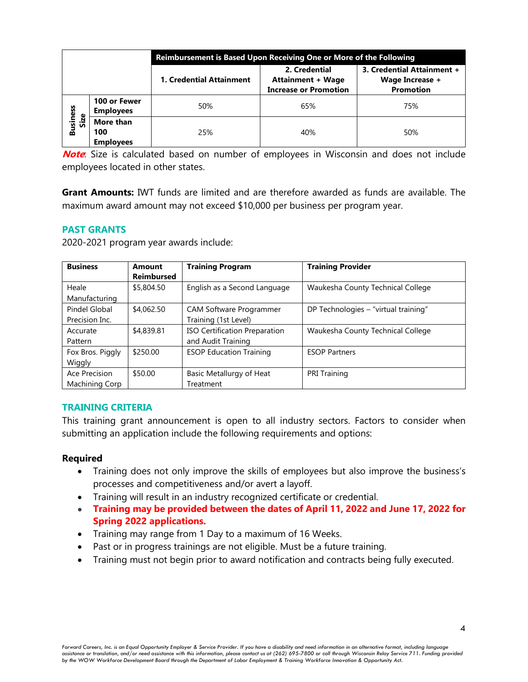|                          |                                      | Reimbursement is Based Upon Receiving One or More of the Following |                                                                           |                                                                   |  |  |
|--------------------------|--------------------------------------|--------------------------------------------------------------------|---------------------------------------------------------------------------|-------------------------------------------------------------------|--|--|
|                          |                                      | 1. Credential Attainment                                           | 2. Credential<br><b>Attainment + Wage</b><br><b>Increase or Promotion</b> | 3. Credential Attainment +<br>Wage Increase +<br><b>Promotion</b> |  |  |
| <b>Business<br/>Size</b> | 100 or Fewer<br><b>Employees</b>     | 50%                                                                | 65%                                                                       | 75%                                                               |  |  |
|                          | More than<br>100<br><b>Employees</b> | 25%                                                                | 40%                                                                       | 50%                                                               |  |  |

**Note**: Size is calculated based on number of employees in Wisconsin and does not include employees located in other states.

**Grant Amounts:** IWT funds are limited and are therefore awarded as funds are available. The maximum award amount may not exceed \$10,000 per business per program year.

## **PAST GRANTS**

| <b>Business</b>  | Amount            | <b>Training Program</b>        | <b>Training Provider</b>             |
|------------------|-------------------|--------------------------------|--------------------------------------|
|                  | <b>Reimbursed</b> |                                |                                      |
| Heale            | \$5,804.50        | English as a Second Language   | Waukesha County Technical College    |
| Manufacturing    |                   |                                |                                      |
| Pindel Global    | \$4,062.50        | CAM Software Programmer        | DP Technologies - "virtual training" |
| Precision Inc.   |                   | Training (1st Level)           |                                      |
| Accurate         | \$4,839.81        | ISO Certification Preparation  | Waukesha County Technical College    |
| Pattern          |                   | and Audit Training             |                                      |
| Fox Bros. Piggly | \$250.00          | <b>ESOP Education Training</b> | <b>ESOP Partners</b>                 |
| Wiggly           |                   |                                |                                      |
| Ace Precision    | \$50.00           | Basic Metallurgy of Heat       | <b>PRI Training</b>                  |
| Machining Corp   |                   | Treatment                      |                                      |

2020-2021 program year awards include:

## **TRAINING CRITERIA**

This training grant announcement is open to all industry sectors. Factors to consider when submitting an application include the following requirements and options:

## **Required**

- Training does not only improve the skills of employees but also improve the business's processes and competitiveness and/or avert a layoff.
- Training will result in an industry recognized certificate or credential.
- **Training may be provided between the dates of April 11, 2022 and June 17, 2022 for Spring 2022 applications.**
- Training may range from 1 Day to a maximum of 16 Weeks.
- Past or in progress trainings are not eligible. Must be a future training.
- Training must not begin prior to award notification and contracts being fully executed.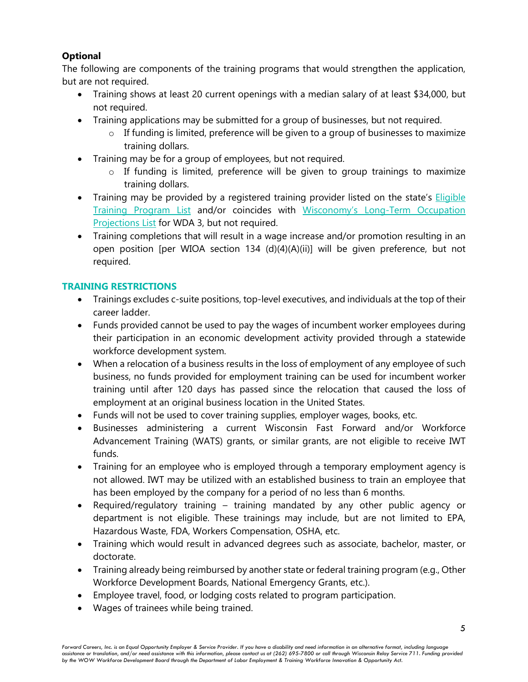## **Optional**

The following are components of the training programs that would strengthen the application, but are not required.

- Training shows at least 20 current openings with a median salary of at least \$34,000, but not required.
- Training applications may be submitted for a group of businesses, but not required.
	- o If funding is limited, preference will be given to a group of businesses to maximize training dollars.
- Training may be for a group of employees, but not required.
	- o If funding is limited, preference will be given to group trainings to maximize training dollars.
- Training may be provided by a registered training provider listed on the state's **Eligible** Training Program List and/or coincides with Wisconomy's Long-Term Occupation Projections List for WDA 3, but not required.
- Training completions that will result in a wage increase and/or promotion resulting in an open position [per WIOA section 134 (d)(4)(A)(ii)] will be given preference, but not required.

## **TRAINING RESTRICTIONS**

- Trainings excludes c-suite positions, top-level executives, and individuals at the top of their career ladder.
- Funds provided cannot be used to pay the wages of incumbent worker employees during their participation in an economic development activity provided through a statewide workforce development system.
- When a relocation of a business results in the loss of employment of any employee of such business, no funds provided for employment training can be used for incumbent worker training until after 120 days has passed since the relocation that caused the loss of employment at an original business location in the United States.
- Funds will not be used to cover training supplies, employer wages, books, etc.
- Businesses administering a current Wisconsin Fast Forward and/or Workforce Advancement Training (WATS) grants, or similar grants, are not eligible to receive IWT funds.
- Training for an employee who is employed through a temporary employment agency is not allowed. IWT may be utilized with an established business to train an employee that has been employed by the company for a period of no less than 6 months.
- Required/regulatory training training mandated by any other public agency or department is not eligible. These trainings may include, but are not limited to EPA, Hazardous Waste, FDA, Workers Compensation, OSHA, etc.
- Training which would result in advanced degrees such as associate, bachelor, master, or doctorate.
- Training already being reimbursed by another state or federal training program (e.g., Other Workforce Development Boards, National Emergency Grants, etc.).
- Employee travel, food, or lodging costs related to program participation.
- Wages of trainees while being trained.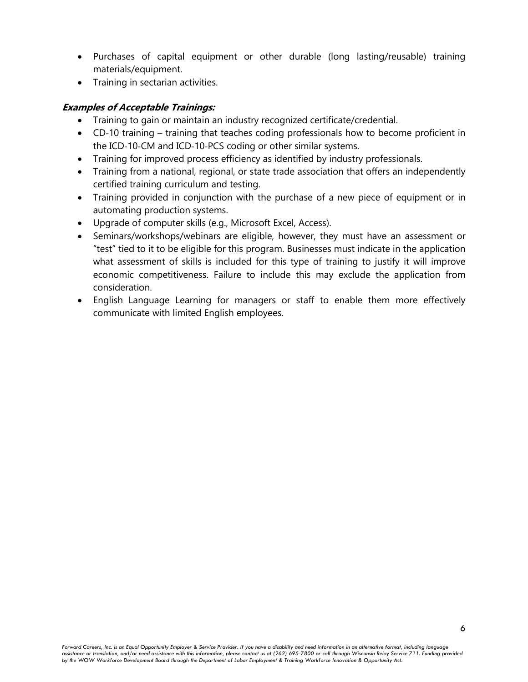- Purchases of capital equipment or other durable (long lasting/reusable) training materials/equipment.
- Training in sectarian activities.

## **Examples of Acceptable Trainings:**

- Training to gain or maintain an industry recognized certificate/credential.
- CD-10 training training that teaches coding professionals how to become proficient in the ICD‐10‐CM and ICD‐10‐PCS coding or other similar systems.
- Training for improved process efficiency as identified by industry professionals.
- Training from a national, regional, or state trade association that offers an independently certified training curriculum and testing.
- Training provided in conjunction with the purchase of a new piece of equipment or in automating production systems.
- Upgrade of computer skills (e.g., Microsoft Excel, Access).
- Seminars/workshops/webinars are eligible, however, they must have an assessment or "test" tied to it to be eligible for this program. Businesses must indicate in the application what assessment of skills is included for this type of training to justify it will improve economic competitiveness. Failure to include this may exclude the application from consideration.
- English Language Learning for managers or staff to enable them more effectively communicate with limited English employees.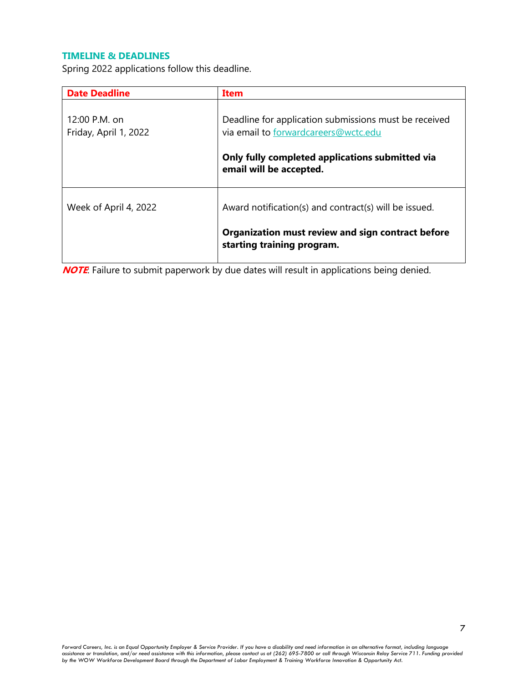## **TIMELINE & DEADLINES**

Spring 2022 applications follow this deadline.

| <b>Date Deadline</b>                   | Item                                                                                          |  |
|----------------------------------------|-----------------------------------------------------------------------------------------------|--|
| 12:00 P.M. on<br>Friday, April 1, 2022 | Deadline for application submissions must be received<br>via email to forwardcareers@wctc.edu |  |
|                                        | Only fully completed applications submitted via<br>email will be accepted.                    |  |
| Week of April 4, 2022                  | Award notification(s) and contract(s) will be issued.                                         |  |
|                                        | Organization must review and sign contract before<br>starting training program.               |  |

**NOTE**: Failure to submit paperwork by due dates will result in applications being denied.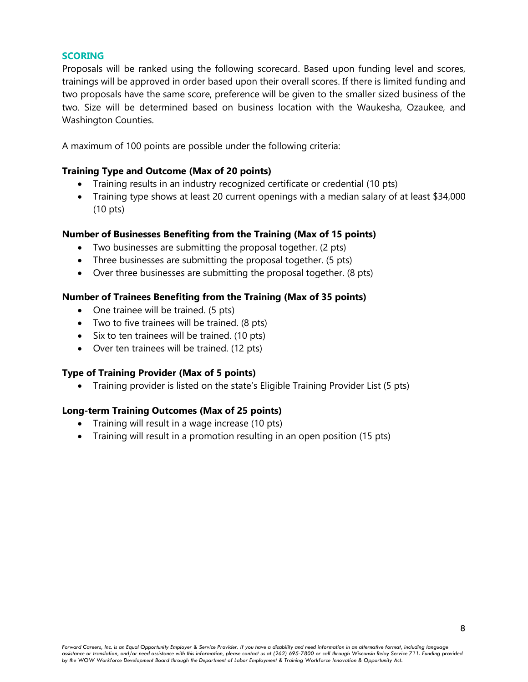## **SCORING**

Proposals will be ranked using the following scorecard. Based upon funding level and scores, trainings will be approved in order based upon their overall scores. If there is limited funding and two proposals have the same score, preference will be given to the smaller sized business of the two. Size will be determined based on business location with the Waukesha, Ozaukee, and Washington Counties.

A maximum of 100 points are possible under the following criteria:

## **Training Type and Outcome (Max of 20 points)**

- Training results in an industry recognized certificate or credential (10 pts)
- Training type shows at least 20 current openings with a median salary of at least \$34,000 (10 pts)

## **Number of Businesses Benefiting from the Training (Max of 15 points)**

- Two businesses are submitting the proposal together. (2 pts)
- Three businesses are submitting the proposal together. (5 pts)
- Over three businesses are submitting the proposal together. (8 pts)

## **Number of Trainees Benefiting from the Training (Max of 35 points)**

- One trainee will be trained. (5 pts)
- Two to five trainees will be trained. (8 pts)
- Six to ten trainees will be trained. (10 pts)
- Over ten trainees will be trained. (12 pts)

## **Type of Training Provider (Max of 5 points)**

• Training provider is listed on the state's Eligible Training Provider List (5 pts)

## **Long-term Training Outcomes (Max of 25 points)**

- Training will result in a wage increase (10 pts)
- Training will result in a promotion resulting in an open position (15 pts)